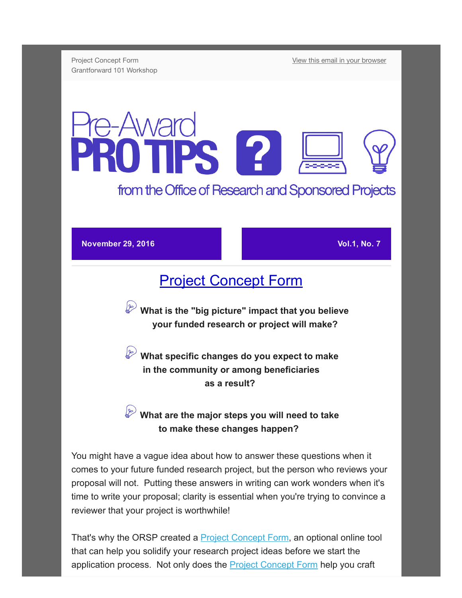Project Concept Form Grantforward 101 Workshop [View this email in your browser](http://us13.campaign-archive2.com/?u=da65d94a037c71fb992ffa034&id=2c2a4de942&e=[UNIQID])

## **Award** TPS 2 from the Office of Research and Sponsored Projects

November 29, 2016 Vol.1, No. 7

## [Project Concept Form](https://westga.co1.qualtrics.com/jfe/form/SV_3RkbU7Q1z9x6dWR)

What is the "big picture" impact that you believe your funded research or project will make?

 What specific changes do you expect to make in the community or among beneficiaries as a result?

## What are the major steps you will need to take to make these changes happen?

You might have a vague idea about how to answer these questions when it comes to your future funded research project, but the person who reviews your proposal will not. Putting these answers in writing can work wonders when it's time to write your proposal; clarity is essential when you're trying to convince a reviewer that your project is worthwhile!

That's why the ORSP created a **Project Concept Form**, an optional online tool that can help you solidify your research project ideas before we start the application process. Not only does the [Project Concept Form](https://westga.co1.qualtrics.com/jfe/form/SV_3RkbU7Q1z9x6dWR) help you craft